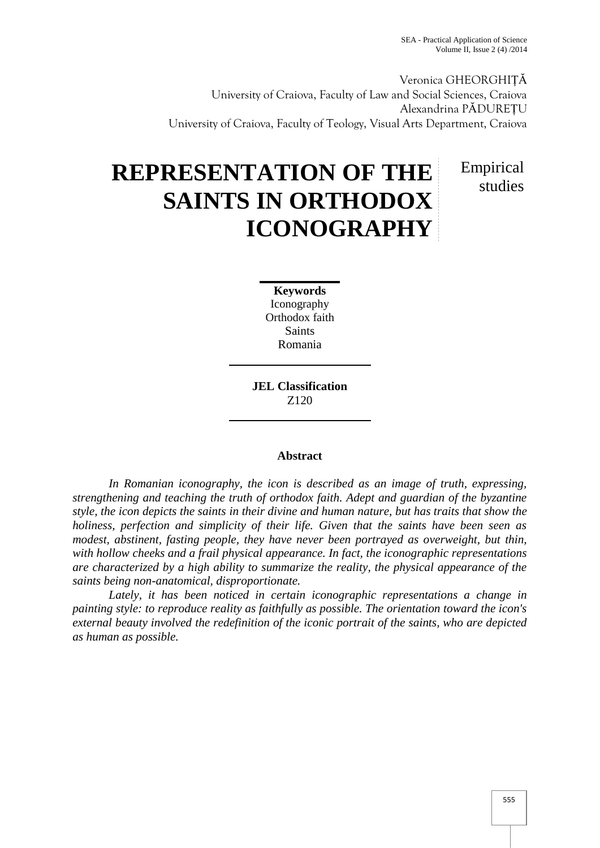Veronica GHEORGHIȚĂ University of Craiova, Faculty of Law and Social Sciences, Craiova Alexandrina PĂDUREȚU University of Craiova, Faculty of Teology, Visual Arts Department, Craiova

## **REPRESENTATION OF THE SAINTS IN ORTHODOX ICONOGRAPHY**

Empirical studies

**Keywords** Iconography Orthodox faith **Saints** Romania

**JEL Classification** Z120

## **Abstract**

*In Romanian iconography, the icon is described as an image of truth, expressing, strengthening and teaching the truth of orthodox faith. Adept and guardian of the byzantine style, the icon depicts the saints in their divine and human nature, but has traits that show the holiness, perfection and simplicity of their life. Given that the saints have been seen as modest, abstinent, fasting people, they have never been portrayed as overweight, but thin, with hollow cheeks and a frail physical appearance. In fact, the iconographic representations are characterized by a high ability to summarize the reality, the physical appearance of the saints being non-anatomical, disproportionate.*

*Lately, it has been noticed in certain iconographic representations a change in painting style: to reproduce reality as faithfully as possible. The orientation toward the icon's external beauty involved the redefinition of the iconic portrait of the saints, who are depicted as human as possible.*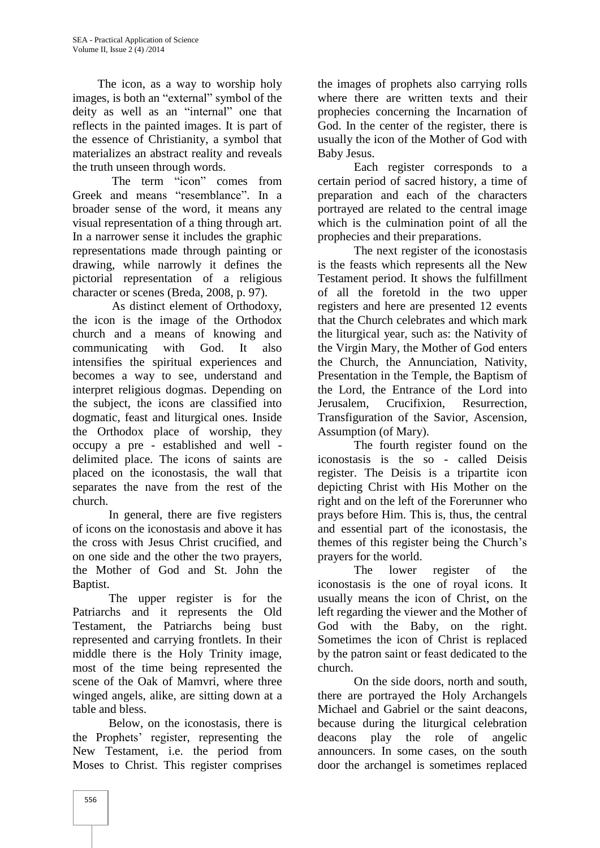The icon, as a way to worship holy images, is both an "external" symbol of the deity as well as an "internal" one that reflects in the painted images. It is part of the essence of Christianity, a symbol that materializes an abstract reality and reveals the truth unseen through words.

The term "icon" comes from Greek and means "resemblance". In a broader sense of the word, it means any visual representation of a thing through art. In a narrower sense it includes the graphic representations made through painting or drawing, while narrowly it defines the pictorial representation of a religious character or scenes (Breda, 2008, p. 97).

As distinct element of Orthodoxy, the icon is the image of the Orthodox church and a means of knowing and communicating with God. It also intensifies the spiritual experiences and becomes a way to see, understand and interpret religious dogmas. Depending on the subject, the icons are classified into dogmatic, feast and liturgical ones. Inside the Orthodox place of worship, they occupy a pre - established and well delimited place. The icons of saints are placed on the iconostasis, the wall that separates the nave from the rest of the

church.<br>In general, there are five registers of icons on the iconostasis and above it has the cross with Jesus Christ crucified, and on one side and the other the two prayers, the Mother of God and St. John the Baptist.

The upper register is for the Patriarchs and it represents the Old Testament, the Patriarchs being bust represented and carrying frontlets. In their middle there is the Holy Trinity image, most of the time being represented the scene of the Oak of Mamvri, where three winged angels, alike, are sitting down at a table and bless.

Below, on the iconostasis, there is the Prophets' register, representing the New Testament, i.e. the period from Moses to Christ. This register comprises

the images of prophets also carrying rolls where there are written texts and their prophecies concerning the Incarnation of God. In the center of the register, there is usually the icon of the Mother of God with Baby Jesus.

Each register corresponds to a certain period of sacred history, a time of preparation and each of the characters portrayed are related to the central image which is the culmination point of all the prophecies and their preparations.

The next register of the iconostasis is the feasts which represents all the New Testament period. It shows the fulfillment of all the foretold in the two upper registers and here are presented 12 events that the Church celebrates and which mark the liturgical year, such as: the Nativity of the Virgin Mary, the Mother of God enters the Church, the Annunciation, Nativity, Presentation in the Temple, the Baptism of the Lord, the Entrance of the Lord into Crucifixion, Resurrection, Transfiguration of the Savior, Ascension, Assumption (of Mary).

The fourth register found on the iconostasis is the so - called Deisis register. The Deisis is a tripartite icon depicting Christ with His Mother on the right and on the left of the Forerunner who prays before Him. This is, thus, the central and essential part of the iconostasis, the themes of this register being the Church's prayers for the world.

The lower register of the iconostasis is the one of royal icons. It usually means the icon of Christ, on the left regarding the viewer and the Mother of God with the Baby, on the right. Sometimes the icon of Christ is replaced by the patron saint or feast dedicated to the church.

On the side doors, north and south, there are portrayed the Holy Archangels Michael and Gabriel or the saint deacons, because during the liturgical celebration play the role of angelic announcers. In some cases, on the south door the archangel is sometimes replaced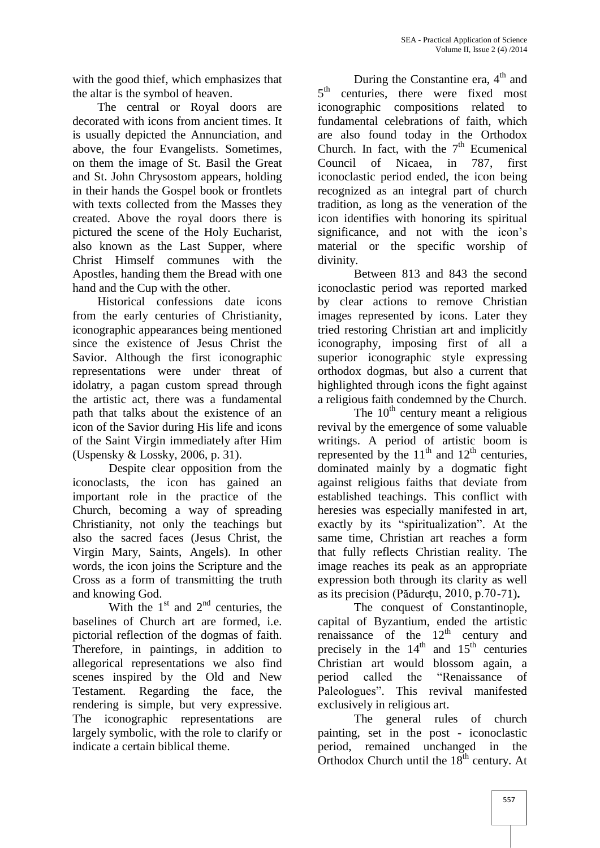with the good thief, which emphasizes that the altar is the symbol of heaven.

The central or Royal doors are decorated with icons from ancient times. It is usually depicted the Annunciation, and above, the four Evangelists. Sometimes, on them the image of St. Basil the Great and St. John Chrysostom appears, holding in their hands the Gospel book or frontlets with texts collected from the Masses they created. Above the royal doors there is pictured the scene of the Holy Eucharist, also known as the Last Supper, where Christ Himself communes with the Apostles, handing them the Bread with one hand and the Cup with the other.

Historical confessions date icons from the early centuries of Christianity, iconographic appearances being mentioned since the existence of Jesus Christ the Savior. Although the first iconographic representations were under threat of idolatry, a pagan custom spread through the artistic act, there was a fundamental path that talks about the existence of an icon of the Savior during His life and icons of the Saint Virgin immediately after Him (Uspensky & Lossky, 2006, p. 31).

Despite clear opposition from the iconoclasts, the icon has gained an important role in the practice of the Church, becoming a way of spreading Christianity, not only the teachings but also the sacred faces (Jesus Christ, the Virgin Mary, Saints, Angels). In other words, the icon joins the Scripture and the Cross as a form of transmitting the truth and knowing God.

With the  $1<sup>st</sup>$  and  $2<sup>nd</sup>$  centuries, the baselines of Church art are formed, i.e. pictorial reflection of the dogmas of faith. Therefore, in paintings, in addition to allegorical representations we also find scenes inspired by the Old and New period called Testament. Regarding the face, the rendering is simple, but very expressive. The iconographic representations are largely symbolic, with the role to clarify or indicate a certain biblical theme.

During the Constantine era,  $4<sup>th</sup>$  and 5<sup>th</sup> centuries, there were fixed most iconographic compositions related to fundamental celebrations of faith, which are also found today in the Orthodox Church. In fact, with the  $7<sup>th</sup>$  Ecumenical Council of Nicaea, in 787, first iconoclastic period ended, the icon being recognized as an integral part of church tradition, as long as the veneration of the icon identifies with honoring its spiritual significance, and not with the icon's material or the specific worship of

Between 813 and 843 the second iconoclastic period was reported marked by clear actions to remove Christian images represented by icons. Later they tried restoring Christian art and implicitly iconography, imposing first of all a superior iconographic style expressing orthodox dogmas, but also a current that highlighted through icons the fight against a religious faith condemned by the Church.

The  $10<sup>th</sup>$  century meant a religious revival by the emergence of some valuable writings. A period of artistic boom is represented by the  $11<sup>th</sup>$  and  $12<sup>th</sup>$  centuries, dominated mainly by a dogmatic fight against religious faiths that deviate from established teachings. This conflict with heresies was especially manifested in art, exactly by its "spiritualization". At the same time, Christian art reaches a form that fully reflects Christian reality. The image reaches its peak as an appropriate expression both through its clarity as well as its precision (Pădurețu, 2010, p.70-71)**.**

The conquest of Constantinople, capital of Byzantium, ended the artistic renaissance of the  $12<sup>th</sup>$  century and precisely in the  $14<sup>th</sup>$  and  $15<sup>th</sup>$  centuries Christian art would blossom again, a the "Renaissance of Paleologues". This revival manifested exclusively in religious art.

The general rules of church painting, set in the post - iconoclastic period, remained unchanged in the Orthodox Church until the  $18^{th}$  century. At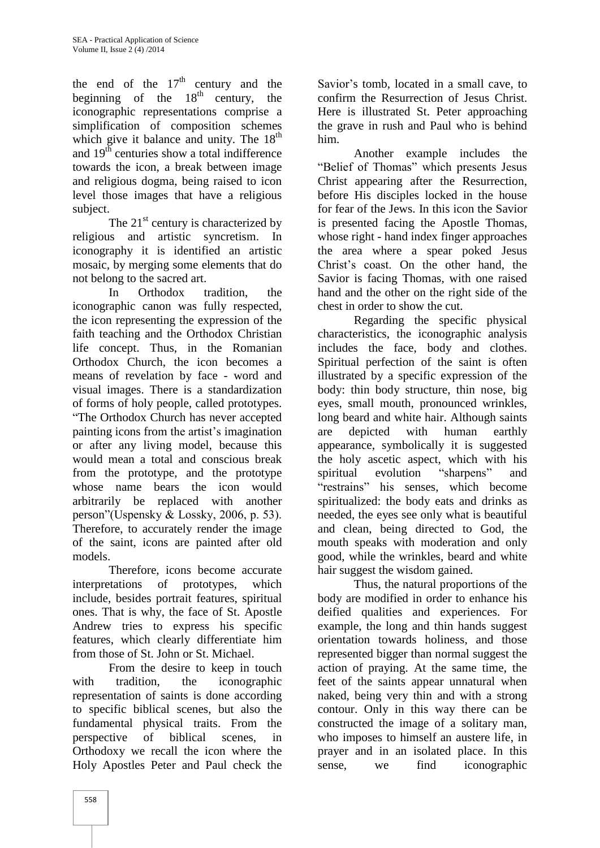the end of the  $17<sup>th</sup>$  century and the beginning of the  $18<sup>th</sup>$  century, the iconographic representations comprise a simplification of composition schemes which give it balance and unity. The  $18<sup>th</sup>$ and  $19<sup>th</sup>$  centuries show a total indifference towards the icon, a break between image and religious dogma, being raised to icon level those images that have a religious

subject.<br>The  $21<sup>st</sup>$  century is characterized by religious and artistic syncretism. In iconography it is identified an artistic mosaic, by merging some elements that do not belong to the sacred art.

In Orthodox tradition, the iconographic canon was fully respected, the icon representing the expression of the faith teaching and the Orthodox Christian life concept. Thus, in the Romanian Orthodox Church, the icon becomes a means of revelation by face - word and visual images. There is a standardization of forms of holy people, called prototypes. "The Orthodox Church has never accepted painting icons from the artist's imagination or after any living model, because this would mean a total and conscious break from the prototype, and the prototype whose name bears the icon would arbitrarily be replaced with another person"(Uspensky & Lossky, 2006, p. 53). Therefore, to accurately render the image of the saint, icons are painted after old models.<br>Therefore, icons become accurate

interpretations of prototypes, which include, besides portrait features, spiritual ones. That is why, the face of St. Apostle Andrew tries to express his specific features, which clearly differentiate him from those of St. John or St. Michael.

From the desire to keep in touch with tradition, the iconographic representation of saints is done according to specific biblical scenes, but also the fundamental physical traits. From the perspective of biblical scenes, in Orthodoxy we recall the icon where the Holy Apostles Peter and Paul check the

Savior's tomb, located in a small cave, to confirm the Resurrection of Jesus Christ. Here is illustrated St. Peter approaching the grave in rush and Paul who is behind him.

Another example includes the "Belief of Thomas" which presents Jesus Christ appearing after the Resurrection, before His disciples locked in the house for fear of the Jews. In this icon the Savior is presented facing the Apostle Thomas, whose right - hand index finger approaches the area where a spear poked Jesus Christ's coast. On the other hand, the Savior is facing Thomas, with one raised hand and the other on the right side of the chest in order to show the cut.

Regarding the specific physical characteristics, the iconographic analysis includes the face, body and clothes. Spiritual perfection of the saint is often illustrated by a specific expression of the body: thin body structure, thin nose, big eyes, small mouth, pronounced wrinkles, long beard and white hair. Although saints depicted with human earthly appearance, symbolically it is suggested the holy ascetic aspect, which with his evolution "sharpens" and "restrains" his senses, which become spiritualized: the body eats and drinks as needed, the eyes see only what is beautiful and clean, being directed to God, the mouth speaks with moderation and only good, while the wrinkles, beard and white hair suggest the wisdom gained.

Thus, the natural proportions of the body are modified in order to enhance his deified qualities and experiences. For example, the long and thin hands suggest orientation towards holiness, and those represented bigger than normal suggest the action of praying. At the same time, the feet of the saints appear unnatural when naked, being very thin and with a strong contour. Only in this way there can be constructed the image of a solitary man, who imposes to himself an austere life, in prayer and in an isolated place. In this we find iconographic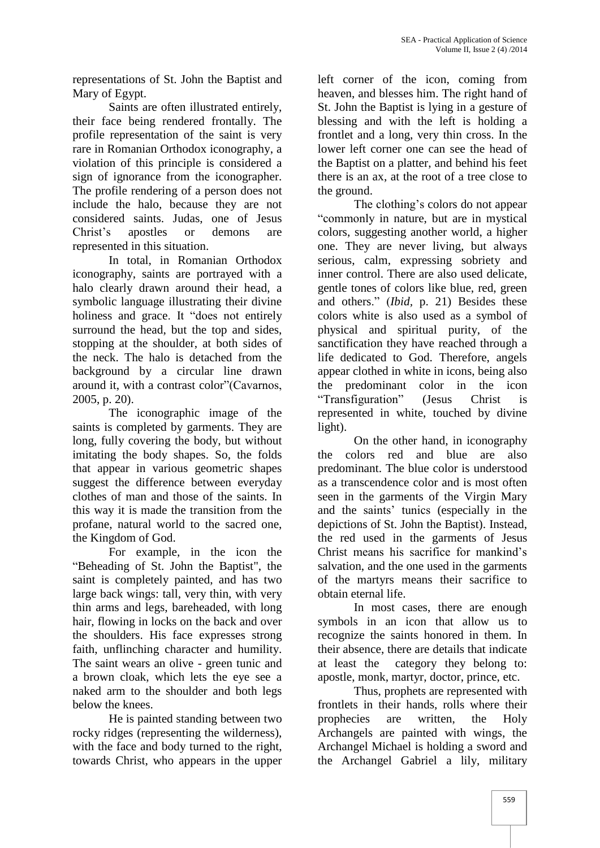representations of St. John the Baptist and Mary of Egypt.

Saints are often illustrated entirely, their face being rendered frontally. The profile representation of the saint is very rare in Romanian Orthodox iconography, a violation of this principle is considered a sign of ignorance from the iconographer. The profile rendering of a person does not include the halo, because they are not considered saints. Judas, one of Jesus Christ's apostles or demons are represented in this situation.

In total, in Romanian Orthodox iconography, saints are portrayed with a halo clearly drawn around their head, a symbolic language illustrating their divine holiness and grace. It "does not entirely surround the head, but the top and sides, stopping at the shoulder, at both sides of the neck. The halo is detached from the background by a circular line drawn around it, with a contrast color"(Cavarnos, 2005, p. 20).

The iconographic image of the saints is completed by garments. They are long, fully covering the body, but without imitating the body shapes. So, the folds that appear in various geometric shapes suggest the difference between everyday clothes of man and those of the saints. In this way it is made the transition from the profane, natural world to the sacred one, the Kingdom of God.

For example, in the icon the "Beheading of St. John the Baptist", the saint is completely painted, and has two large back wings: tall, very thin, with very thin arms and legs, bareheaded, with long hair, flowing in locks on the back and over the shoulders. His face expresses strong faith, unflinching character and humility. The saint wears an olive - green tunic and at least the a brown cloak, which lets the eye see a naked arm to the shoulder and both legs below the knees.

He is painted standing between two rocky ridges (representing the wilderness), with the face and body turned to the right, towards Christ, who appears in the upper

left corner of the icon, coming from heaven, and blesses him. The right hand of St. John the Baptist is lying in a gesture of blessing and with the left is holding a frontlet and a long, very thin cross. In the lower left corner one can see the head of the Baptist on a platter, and behind his feet there is an ax, at the root of a tree close to the ground.

The clothing's colors do not appear "commonly in nature, but are in mystical colors, suggesting another world, a higher one. They are never living, but always serious, calm, expressing sobriety and inner control. There are also used delicate, gentle tones of colors like blue, red, green and others." (*Ibid,* p. 21) Besides these colors white is also used as a symbol of physical and spiritual purity, of the sanctification they have reached through a life dedicated to God. Therefore, angels appear clothed in white in icons, being also the predominant color in the icon "Transfiguration" (Jesus Christ is represented in white, touched by divine light).

On the other hand, in iconography the colors red and blue are also predominant. The blue color is understood as a transcendence color and is most often seen in the garments of the Virgin Mary and the saints' tunics (especially in the depictions of St. John the Baptist). Instead, the red used in the garments of Jesus Christ means his sacrifice for mankind's salvation, and the one used in the garments of the martyrs means their sacrifice to obtain eternal life.

In most cases, there are enough symbols in an icon that allow us to recognize the saints honored in them. In their absence, there are details that indicate category they belong to: apostle, monk, martyr, doctor, prince, etc.

Thus, prophets are represented with frontlets in their hands, rolls where their prophecies are written, the Holy Archangels are painted with wings, the Archangel Michael is holding a sword and the Archangel Gabriel a lily, military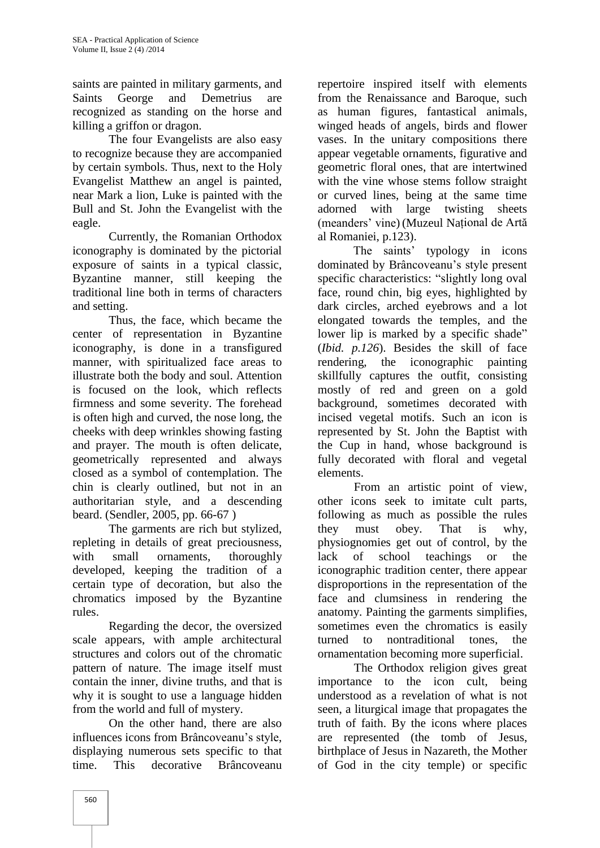saints are painted in military garments, and Saints George and Demetrius are recognized as standing on the horse and killing a griffon or dragon.

The four Evangelists are also easy to recognize because they are accompanied by certain symbols. Thus, next to the Holy Evangelist Matthew an angel is painted, near Mark a lion, Luke is painted with the Bull and St. John the Evangelist with the eagle.

Currently, the Romanian Orthodox iconography is dominated by the pictorial exposure of saints in a typical classic, Byzantine manner, still keeping the traditional line both in terms of characters and setting.

Thus, the face, which became the center of representation in Byzantine iconography, is done in a transfigured manner, with spiritualized face areas to rendering, illustrate both the body and soul. Attention is focused on the look, which reflects firmness and some severity. The forehead is often high and curved, the nose long, the cheeks with deep wrinkles showing fasting and prayer. The mouth is often delicate, geometrically represented and always closed as a symbol of contemplation. The chin is clearly outlined, but not in an authoritarian style, and a descending beard. (Sendler, 2005, pp. 66-67 )

The garments are rich but stylized, repleting in details of great preciousness, with small ornaments, thoroughly lack developed, keeping the tradition of a certain type of decoration, but also the chromatics imposed by the Byzantine rules.

Regarding the decor, the oversized scale appears, with ample architectural structures and colors out of the chromatic pattern of nature. The image itself must contain the inner, divine truths, and that is why it is sought to use a language hidden from the world and full of mystery.

On the other hand, there are also influences icons from Brâncoveanu's style, displaying numerous sets specific to that time. This decorative Brâncoveanu

repertoire inspired itself with elements from the Renaissance and Baroque, such as human figures, fantastical animals, winged heads of angels, birds and flower vases. In the unitary compositions there appear vegetable ornaments, figurative and geometric floral ones, that are intertwined with the vine whose stems follow straight or curved lines, being at the same time with large twisting sheets (meanders' vine) (Muzeul Național de Artă al Romaniei, p.123).

The saints' typology in icons dominated by Brâncoveanu's style present specific characteristics: "slightly long oval face, round chin, big eyes, highlighted by dark circles, arched eyebrows and a lot elongated towards the temples, and the lower lip is marked by a specific shade" (*Ibid. p.126*). Besides the skill of face the iconographic painting skillfully captures the outfit, consisting mostly of red and green on a gold background, sometimes decorated with incised vegetal motifs. Such an icon is represented by St. John the Baptist with the Cup in hand, whose background is fully decorated with floral and vegetal elements.

From an artistic point of view, other icons seek to imitate cult parts, following as much as possible the rules they must obey. That is why, physiognomies get out of control, by the of school teachings or the iconographic tradition center, there appear disproportions in the representation of the face and clumsiness in rendering the anatomy. Painting the garments simplifies, sometimes even the chromatics is easily turned to nontraditional tones, the ornamentation becoming more superficial.

The Orthodox religion gives great importance to the icon cult, being understood as a revelation of what is not seen, a liturgical image that propagates the truth of faith. By the icons where places are represented (the tomb of Jesus, birthplace of Jesus in Nazareth, the Mother of God in the city temple) or specific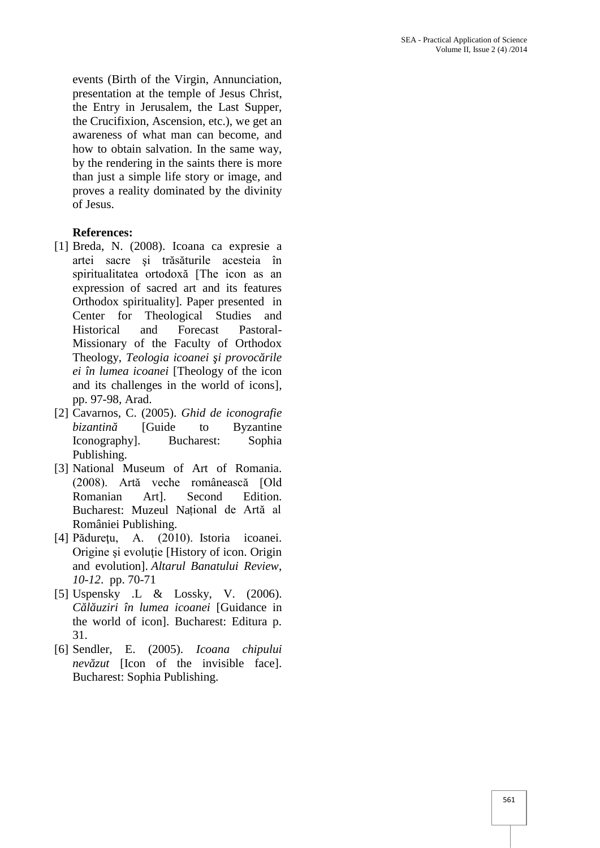events (Birth of the Virgin, Annunciation, presentation at the temple of Jesus Christ, the Entry in Jerusalem, the Last Supper, the Crucifixion, Ascension, etc.), we get an awareness of what man can become, and how to obtain salvation. In the same way, by the rendering in the saints there is more than just a simple life story or image, and proves a reality dominated by the divinity of Jesus.

## **References:**

- [1] Breda, N. (2008). Icoana ca expresie a artei sacre şi trăsăturile acesteia în spiritualitatea ortodoxă [The icon as an expression of sacred art and its features Orthodox spirituality]*.* Paper presented in Center for Theological Studies and Historical and Forecast Pastoral- Missionary of the Faculty of Orthodox Theology, Teologia icoanei i provoc rile *ei în lumea icoanei* [Theology of the icon and its challenges in the world of icons]*,* pp. 97-98*,* Arad.
- [2] Cavarnos, C. (2005). *Ghid de iconografie bizantin* [Guide to Byzantine Iconography]. Bucharest: Sophia Publishing.
- [3] National Museum of Art of Romania. (2008). Artă veche românească [Old Romanian Art]. Second Edition. Bucharest: Muzeul Național de Artă al României Publishing.
- [4] Pădureţu, A. (2010). Istoria icoanei. Origine și evoluție [History of icon. Origin and evolution]. *Altarul Banatului Review*, *10-12*. pp. 70-71
- [5] Uspensky .L & Lossky, V. (2006). *Călăuziri în lumea icoanei* [Guidance in the world of icon]. Bucharest: Editura p. 31.
- [6] Sendler, E. (2005). *Icoana chipului nev* zut [Icon of the invisible face]. Bucharest: Sophia Publishing.